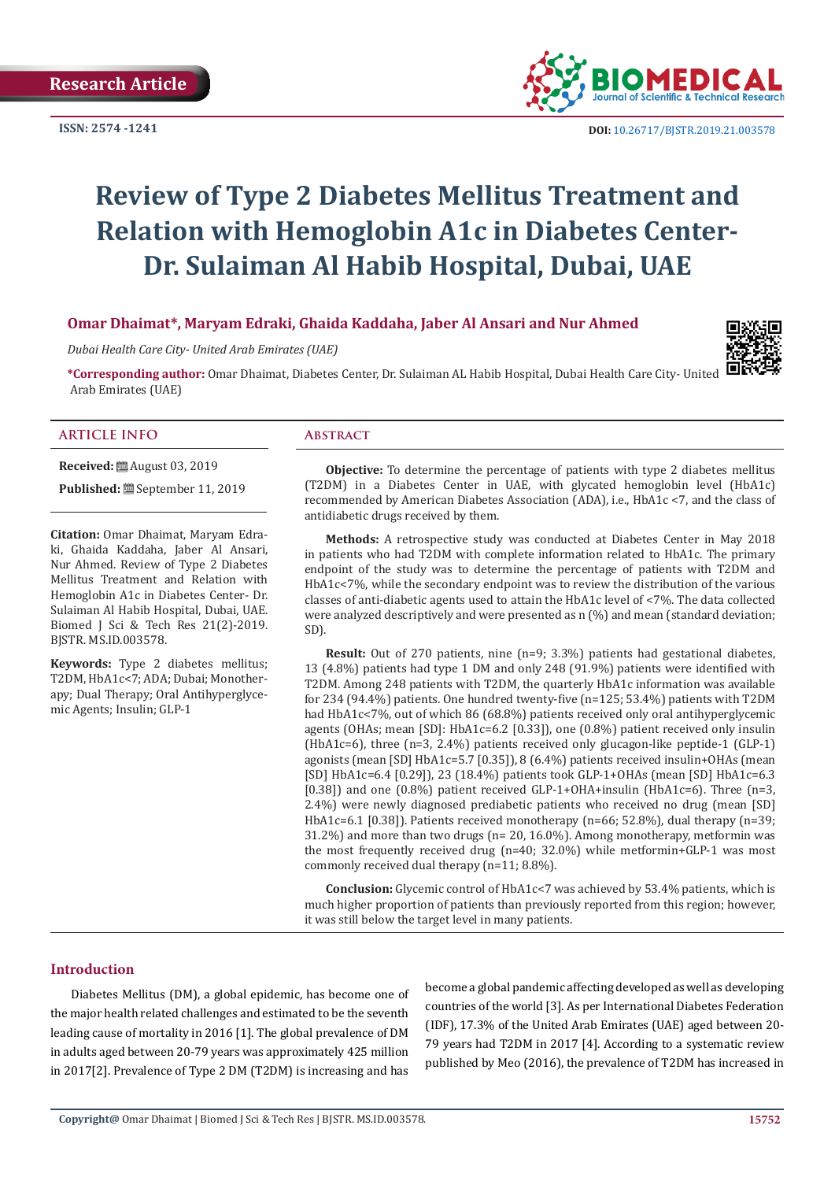**ISSN: 2574 -1241**



 **DOI:** [10.26717/BJSTR.2019.21.003578](http://dx.doi.org/10.26717/BJSTR.2019.21.003578)

# **Review of Type 2 Diabetes Mellitus Treatment and Relation with Hemoglobin A1c in Diabetes Center-Dr. Sulaiman Al Habib Hospital, Dubai, UAE**

# **Omar Dhaimat\*, Maryam Edraki, Ghaida Kaddaha, Jaber Al Ansari and Nur Ahmed**

*Dubai Health Care City- United Arab Emirates (UAE)* 



#### **ARTICLE INFO Abstract**

Arab Emirates (UAE)

**Received:** ■ August 03, 2019

**Published:** September 11, 2019

**Citation:** Omar Dhaimat, Maryam Edraki, Ghaida Kaddaha, Jaber Al Ansari, Nur Ahmed. Review of Type 2 Diabetes Mellitus Treatment and Relation with Hemoglobin A1c in Diabetes Center- Dr. Sulaiman Al Habib Hospital, Dubai, UAE. Biomed J Sci & Tech Res 21(2)-2019. BJSTR. MS.ID.003578.

**Keywords:** Type 2 diabetes mellitus; T2DM, HbA1c<7; ADA; Dubai; Monotherapy; Dual Therapy; Oral Antihyperglycemic Agents; Insulin; GLP-1

**Objective:** To determine the percentage of patients with type 2 diabetes mellitus (T2DM) in a Diabetes Center in UAE, with glycated hemoglobin level (HbA1c) recommended by American Diabetes Association (ADA), i.e., HbA1c <7, and the class of antidiabetic drugs received by them.

**Methods:** A retrospective study was conducted at Diabetes Center in May 2018 in patients who had T2DM with complete information related to HbA1c. The primary endpoint of the study was to determine the percentage of patients with T2DM and HbA1c<7%, while the secondary endpoint was to review the distribution of the various classes of anti-diabetic agents used to attain the HbA1c level of <7%. The data collected were analyzed descriptively and were presented as n (%) and mean (standard deviation; SD).

**Result:** Out of 270 patients, nine (n=9; 3.3%) patients had gestational diabetes, 13 (4.8%) patients had type 1 DM and only 248 (91.9%) patients were identified with T2DM. Among 248 patients with T2DM, the quarterly HbA1c information was available for 234 (94.4%) patients. One hundred twenty-five (n=125; 53.4%) patients with T2DM had HbA1c<7%, out of which 86 (68.8%) patients received only oral antihyperglycemic agents (OHAs; mean [SD]: HbA1c=6.2 [0.33]), one (0.8%) patient received only insulin (HbA1c=6), three (n=3, 2.4%) patients received only glucagon-like peptide-1 (GLP-1) agonists (mean [SD] HbA1c=5.7 [0.35]), 8 (6.4%) patients received insulin+OHAs (mean [SD] HbA1c=6.4 [0.29]), 23 (18.4%) patients took GLP-1+OHAs (mean [SD] HbA1c=6.3 [0.38]) and one  $(0.8\%)$  patient received GLP-1+OHA+insulin (HbA1c=6). Three (n=3, 2.4%) were newly diagnosed prediabetic patients who received no drug (mean [SD] HbA1c=6.1 [0.38]). Patients received monotherapy (n=66; 52.8%), dual therapy (n=39; 31.2%) and more than two drugs (n= 20, 16.0%). Among monotherapy, metformin was the most frequently received drug (n=40; 32.0%) while metformin+GLP-1 was most commonly received dual therapy (n=11; 8.8%).

**Conclusion:** Glycemic control of HbA1c<7 was achieved by 53.4% patients, which is much higher proportion of patients than previously reported from this region; however, it was still below the target level in many patients.

# **Introduction**

Diabetes Mellitus (DM), a global epidemic, has become one of the major health related challenges and estimated to be the seventh leading cause of mortality in 2016 [1]. The global prevalence of DM in adults aged between 20-79 years was approximately 425 million in 2017[2]. Prevalence of Type 2 DM (T2DM) is increasing and has

become a global pandemic affecting developed as well as developing countries of the world [3]. As per International Diabetes Federation (IDF), 17.3% of the United Arab Emirates (UAE) aged between 20- 79 years had T2DM in 2017 [4]. According to a systematic review published by Meo (2016), the prevalence of T2DM has increased in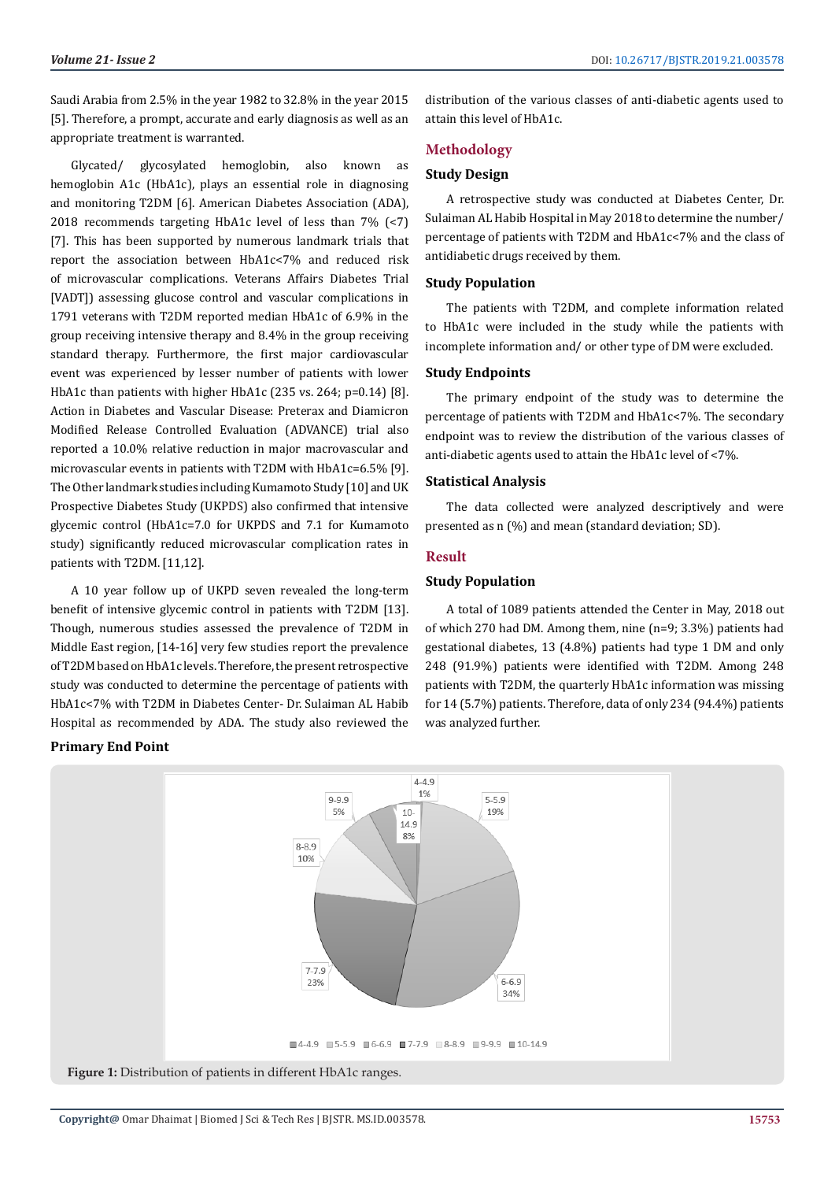Saudi Arabia from 2.5% in the year 1982 to 32.8% in the year 2015 [5]. Therefore, a prompt, accurate and early diagnosis as well as an appropriate treatment is warranted.

Glycated/ glycosylated hemoglobin, also known as hemoglobin A1c (HbA1c), plays an essential role in diagnosing and monitoring T2DM [6]. American Diabetes Association (ADA), 2018 recommends targeting HbA1c level of less than 7% (<7) [7]. This has been supported by numerous landmark trials that report the association between HbA1c<7% and reduced risk of microvascular complications. Veterans Affairs Diabetes Trial [VADT]) assessing glucose control and vascular complications in 1791 veterans with T2DM reported median HbA1c of 6.9% in the group receiving intensive therapy and 8.4% in the group receiving standard therapy. Furthermore, the first major cardiovascular event was experienced by lesser number of patients with lower HbA1c than patients with higher HbA1c (235 vs. 264; p=0.14) [8]. Action in Diabetes and Vascular Disease: Preterax and Diamicron Modified Release Controlled Evaluation (ADVANCE) trial also reported a 10.0% relative reduction in major macrovascular and microvascular events in patients with T2DM with HbA1c=6.5% [9]. The Other landmark studies including Kumamoto Study [10] and UK Prospective Diabetes Study (UKPDS) also confirmed that intensive glycemic control (HbA1c=7.0 for UKPDS and 7.1 for Kumamoto study) significantly reduced microvascular complication rates in patients with T2DM. [11,12].

A 10 year follow up of UKPD seven revealed the long-term benefit of intensive glycemic control in patients with T2DM [13]. Though, numerous studies assessed the prevalence of T2DM in Middle East region, [14-16] very few studies report the prevalence of T2DM based on HbA1c levels. Therefore, the present retrospective study was conducted to determine the percentage of patients with HbA1c<7% with T2DM in Diabetes Center- Dr. Sulaiman AL Habib Hospital as recommended by ADA. The study also reviewed the

# **Primary End Point**

distribution of the various classes of anti-diabetic agents used to attain this level of HbA1c.

# **Methodology**

## **Study Design**

A retrospective study was conducted at Diabetes Center, Dr. Sulaiman AL Habib Hospital in May 2018 to determine the number/ percentage of patients with T2DM and HbA1c<7% and the class of antidiabetic drugs received by them.

## **Study Population**

The patients with T2DM, and complete information related to HbA1c were included in the study while the patients with incomplete information and/ or other type of DM were excluded.

#### **Study Endpoints**

The primary endpoint of the study was to determine the percentage of patients with T2DM and HbA1c<7%. The secondary endpoint was to review the distribution of the various classes of anti-diabetic agents used to attain the HbA1c level of <7%.

#### **Statistical Analysis**

The data collected were analyzed descriptively and were presented as n (%) and mean (standard deviation; SD).

#### **Result**

# **Study Population**

A total of 1089 patients attended the Center in May, 2018 out of which 270 had DM. Among them, nine (n=9; 3.3%) patients had gestational diabetes, 13 (4.8%) patients had type 1 DM and only 248 (91.9%) patients were identified with T2DM. Among 248 patients with T2DM, the quarterly HbA1c information was missing for 14 (5.7%) patients. Therefore, data of only 234 (94.4%) patients was analyzed further.

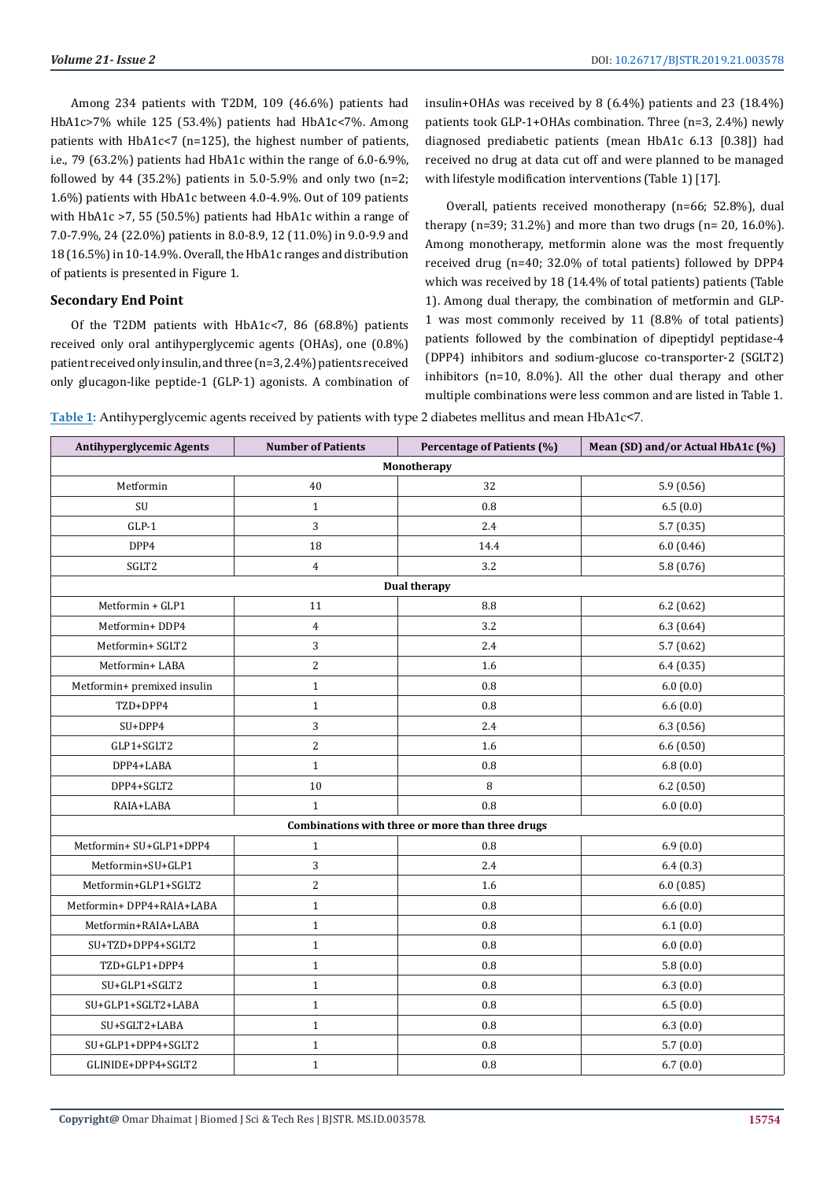Among 234 patients with T2DM, 109 (46.6%) patients had HbA1c>7% while 125 (53.4%) patients had HbA1c<7%. Among patients with HbA1c<7 (n=125), the highest number of patients, i.e., 79 (63.2%) patients had HbA1c within the range of 6.0-6.9%, followed by 44 (35.2%) patients in 5.0-5.9% and only two  $(n=2;$ 1.6%) patients with HbA1c between 4.0-4.9%. Out of 109 patients with HbA1c >7, 55 (50.5%) patients had HbA1c within a range of 7.0-7.9%, 24 (22.0%) patients in 8.0-8.9, 12 (11.0%) in 9.0-9.9 and 18 (16.5%) in 10-14.9%. Overall, the HbA1c ranges and distribution of patients is presented in Figure 1.

# **Secondary End Point**

Of the T2DM patients with HbA1c<7, 86 (68.8%) patients received only oral antihyperglycemic agents (OHAs), one (0.8%) patient received only insulin, and three (n=3, 2.4%) patients received only glucagon-like peptide-1 (GLP-1) agonists. A combination of insulin+OHAs was received by 8 (6.4%) patients and 23 (18.4%) patients took GLP-1+OHAs combination. Three (n=3, 2.4%) newly diagnosed prediabetic patients (mean HbA1c 6.13 [0.38]) had received no drug at data cut off and were planned to be managed with lifestyle modification interventions (Table 1) [17].

Overall, patients received monotherapy (n=66; 52.8%), dual therapy  $(n=39; 31.2\%)$  and more than two drugs  $(n=20, 16.0\%)$ . Among monotherapy, metformin alone was the most frequently received drug (n=40; 32.0% of total patients) followed by DPP4 which was received by 18 (14.4% of total patients) patients (Table 1). Among dual therapy, the combination of metformin and GLP-1 was most commonly received by 11 (8.8% of total patients) patients followed by the combination of dipeptidyl peptidase-4 (DPP4) inhibitors and sodium-glucose co-transporter-2 (SGLT2) inhibitors (n=10, 8.0%). All the other dual therapy and other multiple combinations were less common and are listed in Table 1.

**Table 1:** Antihyperglycemic agents received by patients with type 2 diabetes mellitus and mean HbA1c<7.

| <b>Antihyperglycemic Agents</b>                  | <b>Number of Patients</b> | Percentage of Patients (%) | Mean (SD) and/or Actual HbA1c (%) |  |  |
|--------------------------------------------------|---------------------------|----------------------------|-----------------------------------|--|--|
| Monotherapy                                      |                           |                            |                                   |  |  |
| Metformin                                        | 40                        | 32                         | 5.9(0.56)                         |  |  |
| $\ensuremath{\mathrm{SU}}$                       | $\mathbf{1}$              | 0.8                        | 6.5(0.0)                          |  |  |
| $GLP-1$                                          | 3                         | 2.4                        | 5.7(0.35)                         |  |  |
| DPP4                                             | 18                        | 14.4                       | 6.0(0.46)                         |  |  |
| SGLT2                                            | $\overline{4}$            | 3.2                        | 5.8(0.76)                         |  |  |
| <b>Dual therapy</b>                              |                           |                            |                                   |  |  |
| Metformin + GLP1                                 | 11                        | 8.8                        | 6.2(0.62)                         |  |  |
| Metformin+DDP4                                   | $\overline{4}$            | 3.2                        | 6.3(0.64)                         |  |  |
| Metformin+ SGLT2                                 | 3                         | 2.4                        | 5.7(0.62)                         |  |  |
| Metformin+LABA                                   | $\overline{2}$            | 1.6                        | 6.4(0.35)                         |  |  |
| Metformin+ premixed insulin                      | $\mathbf{1}$              | 0.8                        | 6.0(0.0)                          |  |  |
| TZD+DPP4                                         | $\mathbf{1}$              | 0.8                        | 6.6(0.0)                          |  |  |
| SU+DPP4                                          | 3                         | 2.4                        | 6.3(0.56)                         |  |  |
| GLP1+SGLT2                                       | $\overline{c}$            | 1.6                        | 6.6(0.50)                         |  |  |
| DPP4+LABA                                        | $\mathbf{1}$              | $\rm 0.8$                  | 6.8(0.0)                          |  |  |
| DPP4+SGLT2                                       | 10                        | 8                          | 6.2(0.50)                         |  |  |
| RAIA+LABA                                        | $\mathbf{1}$              | 0.8                        | 6.0(0.0)                          |  |  |
| Combinations with three or more than three drugs |                           |                            |                                   |  |  |
| Metformin+ SU+GLP1+DPP4                          | $\mathbf{1}$              | $0.8\,$                    | 6.9(0.0)                          |  |  |
| Metformin+SU+GLP1                                | 3                         | 2.4                        | 6.4(0.3)                          |  |  |
| Metformin+GLP1+SGLT2                             | $\overline{c}$            | 1.6                        | 6.0(0.85)                         |  |  |
| Metformin+DPP4+RAIA+LABA                         | $\mathbf 1$               | 0.8                        | 6.6(0.0)                          |  |  |
| Metformin+RAIA+LABA                              | $\mathbf{1}$              | $0.8\,$                    | 6.1(0.0)                          |  |  |
| SU+TZD+DPP4+SGLT2                                | $\mathbf{1}$              | 0.8                        | 6.0(0.0)                          |  |  |
| TZD+GLP1+DPP4                                    | $\mathbf{1}$              | $0.8\,$                    | 5.8(0.0)                          |  |  |
| SU+GLP1+SGLT2                                    | $\mathbf{1}$              | 0.8                        | 6.3(0.0)                          |  |  |
| SU+GLP1+SGLT2+LABA                               | $\mathbf{1}$              | 0.8                        | 6.5(0.0)                          |  |  |
| SU+SGLT2+LABA                                    | $\mathbf{1}$              | $0.8\,$                    | 6.3(0.0)                          |  |  |
| SU+GLP1+DPP4+SGLT2                               | $\mathbf 1$               | $0.8\,$                    | 5.7(0.0)                          |  |  |
| GLINIDE+DPP4+SGLT2                               | $\mathbf{1}$              | 0.8                        | 6.7(0.0)                          |  |  |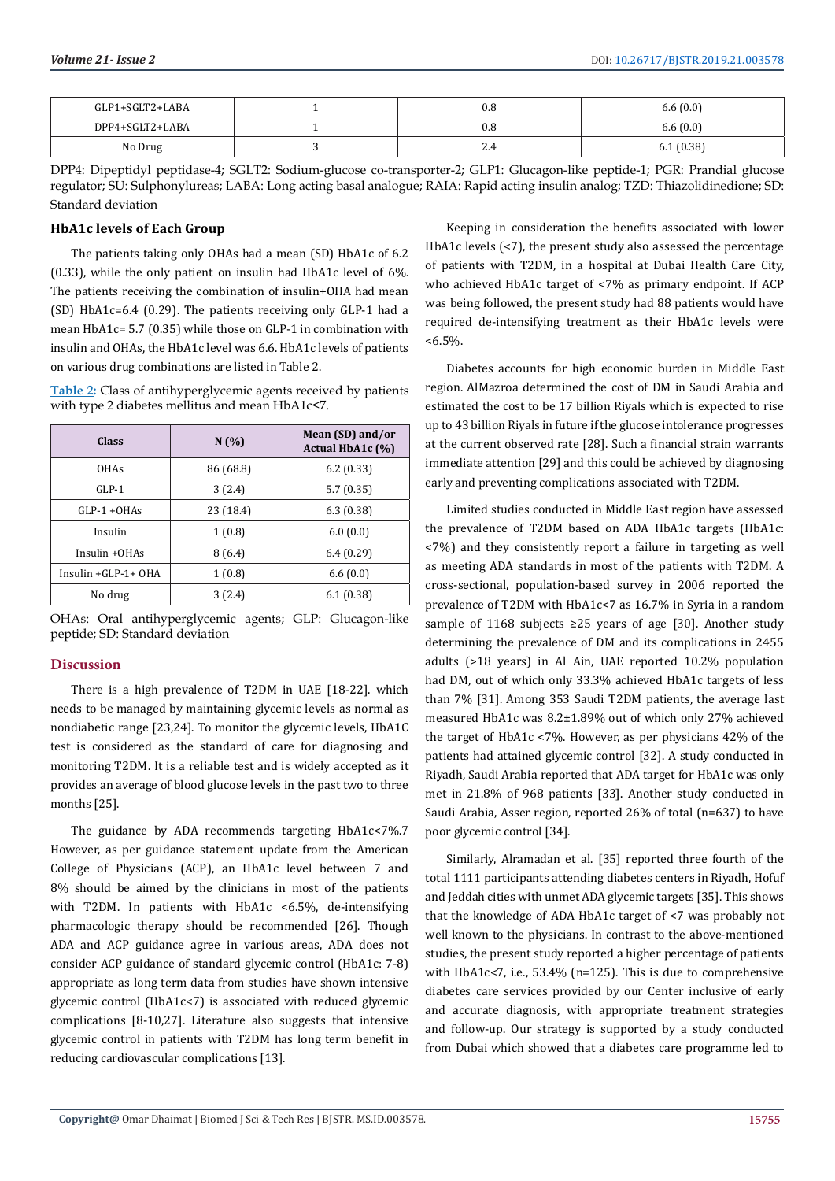| GLP1+SGLT2+LABA | 0.8      | 6.6(0.0)  |
|-----------------|----------|-----------|
| DPP4+SGLT2+LABA | 0.8      | 6.6(0.0)  |
| No Drug         | n<br>4.4 | 6.1(0.38) |

DPP4: Dipeptidyl peptidase-4; SGLT2: Sodium-glucose co-transporter-2; GLP1: Glucagon-like peptide-1; PGR: Prandial glucose regulator; SU: Sulphonylureas; LABA: Long acting basal analogue; RAIA: Rapid acting insulin analog; TZD: Thiazolidinedione; SD: Standard deviation

# **HbA1c levels of Each Group**

The patients taking only OHAs had a mean (SD) HbA1c of 6.2 (0.33), while the only patient on insulin had HbA1c level of 6%. The patients receiving the combination of insulin+OHA had mean (SD) HbA1c=6.4 (0.29). The patients receiving only GLP-1 had a mean HbA1c= 5.7 (0.35) while those on GLP-1 in combination with insulin and OHAs, the HbA1c level was 6.6. HbA1c levels of patients on various drug combinations are listed in Table 2.

**Table 2:** Class of antihyperglycemic agents received by patients with type 2 diabetes mellitus and mean HbA1c<7.

| Class               | N(%)      | Mean (SD) and/or<br>Actual HbA1c (%) |
|---------------------|-----------|--------------------------------------|
| <b>OHAs</b>         | 86 (68.8) | 6.2(0.33)                            |
| $GLP-1$             | 3(2.4)    | 5.7(0.35)                            |
| $GLP-1+OHAs$        | 23 (18.4) | 6.3(0.38)                            |
| Insulin             | 1(0.8)    | 6.0(0.0)                             |
| Insulin + OHAs      | 8(6.4)    | 6.4(0.29)                            |
| Insulin +GLP-1+ OHA | 1(0.8)    | 6.6(0.0)                             |
| No drug             | 3(2.4)    | 6.1(0.38)                            |

OHAs: Oral antihyperglycemic agents; GLP: Glucagon-like peptide; SD: Standard deviation

### **Discussion**

There is a high prevalence of T2DM in UAE [18-22]. which needs to be managed by maintaining glycemic levels as normal as nondiabetic range [23,24]. To monitor the glycemic levels, HbA1C test is considered as the standard of care for diagnosing and monitoring T2DM. It is a reliable test and is widely accepted as it provides an average of blood glucose levels in the past two to three months [25].

The guidance by ADA recommends targeting HbA1c<7%.7 However, as per guidance statement update from the American College of Physicians (ACP), an HbA1c level between 7 and 8% should be aimed by the clinicians in most of the patients with T2DM. In patients with HbA1c <6.5%, de-intensifying pharmacologic therapy should be recommended [26]. Though ADA and ACP guidance agree in various areas, ADA does not consider ACP guidance of standard glycemic control (HbA1c: 7-8) appropriate as long term data from studies have shown intensive glycemic control (HbA1c<7) is associated with reduced glycemic complications [8-10,27]. Literature also suggests that intensive glycemic control in patients with T2DM has long term benefit in reducing cardiovascular complications [13].

Keeping in consideration the benefits associated with lower HbA1c levels (<7), the present study also assessed the percentage of patients with T2DM, in a hospital at Dubai Health Care City, who achieved HbA1c target of <7% as primary endpoint. If ACP was being followed, the present study had 88 patients would have required de-intensifying treatment as their HbA1c levels were  $<6.5\%$ .

Diabetes accounts for high economic burden in Middle East region. AlMazroa determined the cost of DM in Saudi Arabia and estimated the cost to be 17 billion Riyals which is expected to rise up to 43 billion Riyals in future if the glucose intolerance progresses at the current observed rate [28]. Such a financial strain warrants immediate attention [29] and this could be achieved by diagnosing early and preventing complications associated with T2DM.

Limited studies conducted in Middle East region have assessed the prevalence of T2DM based on ADA HbA1c targets (HbA1c: <7%) and they consistently report a failure in targeting as well as meeting ADA standards in most of the patients with T2DM. A cross-sectional, population-based survey in 2006 reported the prevalence of T2DM with HbA1c<7 as 16.7% in Syria in a random sample of 1168 subjects ≥25 years of age [30]. Another study determining the prevalence of DM and its complications in 2455 adults (>18 years) in Al Ain, UAE reported 10.2% population had DM, out of which only 33.3% achieved HbA1c targets of less than 7% [31]. Among 353 Saudi T2DM patients, the average last measured HbA1c was 8.2±1.89% out of which only 27% achieved the target of HbA1c <7%. However, as per physicians 42% of the patients had attained glycemic control [32]. A study conducted in Riyadh, Saudi Arabia reported that ADA target for HbA1c was only met in 21.8% of 968 patients [33]. Another study conducted in Saudi Arabia, Asser region, reported 26% of total (n=637) to have poor glycemic control [34].

Similarly, Alramadan et al. [35] reported three fourth of the total 1111 participants attending diabetes centers in Riyadh, Hofuf and Jeddah cities with unmet ADA glycemic targets [35]. This shows that the knowledge of ADA HbA1c target of <7 was probably not well known to the physicians. In contrast to the above-mentioned studies, the present study reported a higher percentage of patients with HbA1c<7, i.e., 53.4% (n=125). This is due to comprehensive diabetes care services provided by our Center inclusive of early and accurate diagnosis, with appropriate treatment strategies and follow-up. Our strategy is supported by a study conducted from Dubai which showed that a diabetes care programme led to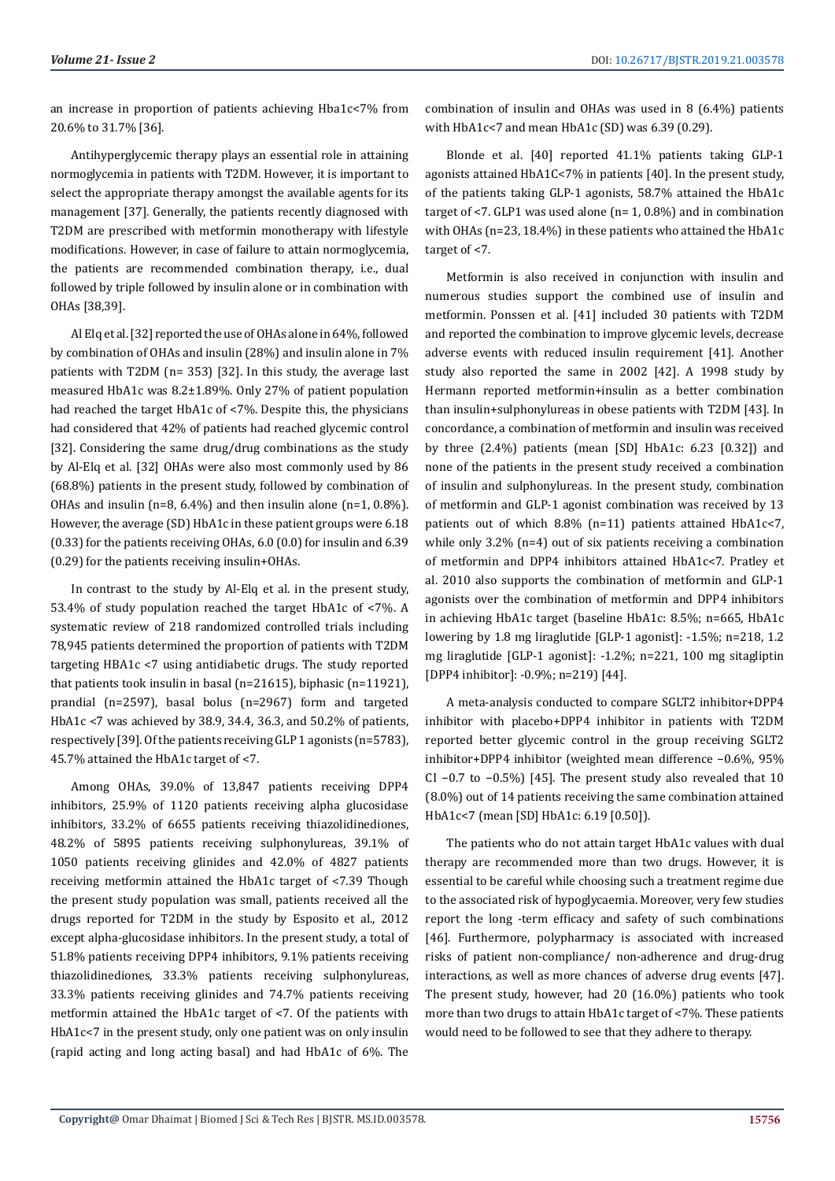an increase in proportion of patients achieving Hba1c<7% from 20.6% to 31.7% [36].

Antihyperglycemic therapy plays an essential role in attaining normoglycemia in patients with T2DM. However, it is important to select the appropriate therapy amongst the available agents for its management [37]. Generally, the patients recently diagnosed with T2DM are prescribed with metformin monotherapy with lifestyle modifications. However, in case of failure to attain normoglycemia, the patients are recommended combination therapy, i.e., dual followed by triple followed by insulin alone or in combination with OHAs [38,39].

Al Elq et al. [32] reported the use of OHAs alone in 64%, followed by combination of OHAs and insulin (28%) and insulin alone in 7% patients with T2DM (n= 353) [32]. In this study, the average last measured HbA1c was 8.2±1.89%. Only 27% of patient population had reached the target HbA1c of <7%. Despite this, the physicians had considered that 42% of patients had reached glycemic control [32]. Considering the same drug/drug combinations as the study by Al-Elq et al. [32] OHAs were also most commonly used by 86 (68.8%) patients in the present study, followed by combination of OHAs and insulin (n=8, 6.4%) and then insulin alone (n=1,  $0.8\%$ ). However, the average (SD) HbA1c in these patient groups were 6.18 (0.33) for the patients receiving OHAs, 6.0 (0.0) for insulin and 6.39 (0.29) for the patients receiving insulin+OHAs.

In contrast to the study by Al-Elq et al. in the present study, 53.4% of study population reached the target HbA1c of <7%. A systematic review of 218 randomized controlled trials including 78,945 patients determined the proportion of patients with T2DM targeting HBA1c <7 using antidiabetic drugs. The study reported that patients took insulin in basal (n=21615), biphasic (n=11921), prandial (n=2597), basal bolus (n=2967) form and targeted HbA1c <7 was achieved by 38.9, 34.4, 36.3, and 50.2% of patients, respectively [39]. Of the patients receiving GLP 1 agonists (n=5783), 45.7% attained the HbA1c target of <7.

Among OHAs, 39.0% of 13,847 patients receiving DPP4 inhibitors, 25.9% of 1120 patients receiving alpha glucosidase inhibitors, 33.2% of 6655 patients receiving thiazolidinediones, 48.2% of 5895 patients receiving sulphonylureas, 39.1% of 1050 patients receiving glinides and 42.0% of 4827 patients receiving metformin attained the HbA1c target of <7.39 Though the present study population was small, patients received all the drugs reported for T2DM in the study by Esposito et al., 2012 except alpha-glucosidase inhibitors. In the present study, a total of 51.8% patients receiving DPP4 inhibitors, 9.1% patients receiving thiazolidinediones, 33.3% patients receiving sulphonylureas, 33.3% patients receiving glinides and 74.7% patients receiving metformin attained the HbA1c target of <7. Of the patients with HbA1c<7 in the present study, only one patient was on only insulin (rapid acting and long acting basal) and had HbA1c of 6%. The

combination of insulin and OHAs was used in 8 (6.4%) patients with HbA1c<7 and mean HbA1c (SD) was 6.39 (0.29).

Blonde et al. [40] reported 41.1% patients taking GLP-1 agonists attained HbA1C<7% in patients [40]. In the present study, of the patients taking GLP-1 agonists, 58.7% attained the HbA1c target of  $\leq$ 7. GLP1 was used alone (n= 1, 0.8%) and in combination with OHAs (n=23, 18.4%) in these patients who attained the HbA1c target of <7.

Metformin is also received in conjunction with insulin and numerous studies support the combined use of insulin and metformin. Ponssen et al. [41] included 30 patients with T2DM and reported the combination to improve glycemic levels, decrease adverse events with reduced insulin requirement [41]. Another study also reported the same in 2002 [42]. A 1998 study by Hermann reported metformin+insulin as a better combination than insulin+sulphonylureas in obese patients with T2DM [43]. In concordance, a combination of metformin and insulin was received by three (2.4%) patients (mean [SD] HbA1c: 6.23 [0.32]) and none of the patients in the present study received a combination of insulin and sulphonylureas. In the present study, combination of metformin and GLP-1 agonist combination was received by 13 patients out of which 8.8% (n=11) patients attained HbA1c<7, while only 3.2% (n=4) out of six patients receiving a combination of metformin and DPP4 inhibitors attained HbA1c<7. Pratley et al. 2010 also supports the combination of metformin and GLP-1 agonists over the combination of metformin and DPP4 inhibitors in achieving HbA1c target (baseline HbA1c: 8.5%; n=665, HbA1c lowering by 1.8 mg liraglutide [GLP-1 agonist]: -1.5%; n=218, 1.2 mg liraglutide [GLP-1 agonist]: -1.2%; n=221, 100 mg sitagliptin [DPP4 inhibitor]: -0.9%; n=219) [44].

A meta-analysis conducted to compare SGLT2 inhibitor+DPP4 inhibitor with placebo+DPP4 inhibitor in patients with T2DM reported better glycemic control in the group receiving SGLT2 inhibitor+DPP4 inhibitor (weighted mean difference −0.6%, 95% CI −0.7 to −0.5%) [45]. The present study also revealed that 10 (8.0%) out of 14 patients receiving the same combination attained HbA1c<7 (mean [SD] HbA1c: 6.19 [0.50]).

The patients who do not attain target HbA1c values with dual therapy are recommended more than two drugs. However, it is essential to be careful while choosing such a treatment regime due to the associated risk of hypoglycaemia. Moreover, very few studies report the long -term efficacy and safety of such combinations [46]. Furthermore, polypharmacy is associated with increased risks of patient non-compliance/ non-adherence and drug-drug interactions, as well as more chances of adverse drug events [47]. The present study, however, had 20 (16.0%) patients who took more than two drugs to attain HbA1c target of <7%. These patients would need to be followed to see that they adhere to therapy.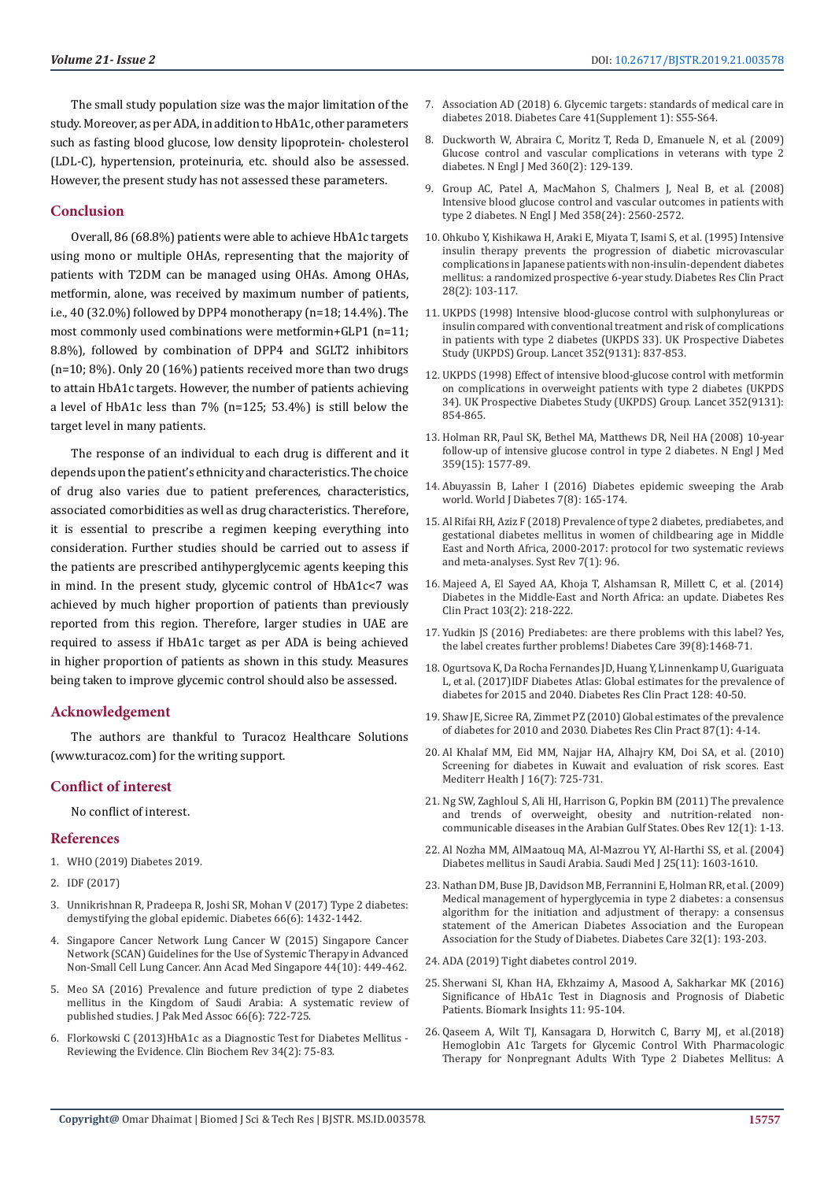The small study population size was the major limitation of the study. Moreover, as per ADA, in addition to HbA1c, other parameters such as fasting blood glucose, low density lipoprotein- cholesterol (LDL-C), hypertension, proteinuria, etc. should also be assessed. However, the present study has not assessed these parameters.

# **Conclusion**

Overall, 86 (68.8%) patients were able to achieve HbA1c targets using mono or multiple OHAs, representing that the majority of patients with T2DM can be managed using OHAs. Among OHAs, metformin, alone, was received by maximum number of patients, i.e., 40 (32.0%) followed by DPP4 monotherapy (n=18; 14.4%). The most commonly used combinations were metformin+GLP1 (n=11; 8.8%), followed by combination of DPP4 and SGLT2 inhibitors (n=10; 8%). Only 20 (16%) patients received more than two drugs to attain HbA1c targets. However, the number of patients achieving a level of HbA1c less than 7% (n=125; 53.4%) is still below the target level in many patients.

The response of an individual to each drug is different and it depends upon the patient's ethnicity and characteristics. The choice of drug also varies due to patient preferences, characteristics, associated comorbidities as well as drug characteristics. Therefore, it is essential to prescribe a regimen keeping everything into consideration. Further studies should be carried out to assess if the patients are prescribed antihyperglycemic agents keeping this in mind. In the present study, glycemic control of HbA1c<7 was achieved by much higher proportion of patients than previously reported from this region. Therefore, larger studies in UAE are required to assess if HbA1c target as per ADA is being achieved in higher proportion of patients as shown in this study. Measures being taken to improve glycemic control should also be assessed.

### **Acknowledgement**

The authors are thankful to Turacoz Healthcare Solutions (www.turacoz.com) for the writing support.

### **Conflict of interest**

No conflict of interest.

### **References**

- 1. [WHO \(2019\) Diabetes 2019.](https://www.who.int/news-room/fact-sheets/detail/diabetes.)
- 2. [IDF \(2017\)](https://www.idf.org/our-network/regions-members/south-east-asia/members/94-india.html.)
- 3. [Unnikrishnan R, Pradeepa R, Joshi SR, Mohan V \(2017\) Type 2 diabetes:](https://www.ncbi.nlm.nih.gov/pubmed/28533294)  [demystifying the global epidemic. Diabetes 66\(6\): 1432-1442.](https://www.ncbi.nlm.nih.gov/pubmed/28533294)
- 4. [Singapore Cancer Network Lung Cancer W \(2015\) Singapore Cancer](https://www.ncbi.nlm.nih.gov/pubmed/26763063)  [Network \(SCAN\) Guidelines for the Use of Systemic Therapy in Advanced](https://www.ncbi.nlm.nih.gov/pubmed/26763063)  [Non-Small Cell Lung Cancer. Ann Acad Med Singapore 44\(10\): 449-462.](https://www.ncbi.nlm.nih.gov/pubmed/26763063)
- 5. [Meo SA \(2016\) Prevalence and future prediction of type 2 diabetes](https://www.ncbi.nlm.nih.gov/pubmed/27339576)  [mellitus in the Kingdom of Saudi Arabia: A systematic review of](https://www.ncbi.nlm.nih.gov/pubmed/27339576)  [published studies. J Pak Med Assoc 66\(6\): 722-725.](https://www.ncbi.nlm.nih.gov/pubmed/27339576)
- 6. [Florkowski C \(2013\)HbA1c as a Diagnostic Test for Diabetes Mellitus](https://www.ncbi.nlm.nih.gov/pmc/articles/PMC3799221/)  [Reviewing the Evidence. Clin Biochem Rev 34\(2\): 75-83.](https://www.ncbi.nlm.nih.gov/pmc/articles/PMC3799221/)
- 7. [Association AD \(2018\) 6. Glycemic targets: standards of medical care in](https://care.diabetesjournals.org/content/41/Supplement_1/S55) [diabetes 2018. Diabetes Care 41\(Supplement 1\): S55-S64.](https://care.diabetesjournals.org/content/41/Supplement_1/S55)
- 8. [Duckworth W, Abraira C, Moritz T, Reda D, Emanuele N, et al. \(2009\)](https://www.ncbi.nlm.nih.gov/pubmed/19092145) [Glucose control and vascular complications in veterans with type 2](https://www.ncbi.nlm.nih.gov/pubmed/19092145) [diabetes. N Engl J Med 360\(2\): 129-139.](https://www.ncbi.nlm.nih.gov/pubmed/19092145)
- 9. [Group AC, Patel A, MacMahon S, Chalmers J, Neal B, et al. \(2008\)](https://www.ncbi.nlm.nih.gov/pubmed/18539916) [Intensive blood glucose control and vascular outcomes in patients with](https://www.ncbi.nlm.nih.gov/pubmed/18539916) [type 2 diabetes. N Engl J Med 358\(24\): 2560-2572.](https://www.ncbi.nlm.nih.gov/pubmed/18539916)
- 10. [Ohkubo Y, Kishikawa H, Araki E, Miyata T, Isami S, et al. \(1995\) Intensive](https://www.ncbi.nlm.nih.gov/pubmed/7587918) [insulin therapy prevents the progression of diabetic microvascular](https://www.ncbi.nlm.nih.gov/pubmed/7587918) [complications in Japanese patients with non-insulin-dependent diabetes](https://www.ncbi.nlm.nih.gov/pubmed/7587918) [mellitus: a randomized prospective 6-year study. Diabetes Res Clin Pract](https://www.ncbi.nlm.nih.gov/pubmed/7587918) [28\(2\): 103-117.](https://www.ncbi.nlm.nih.gov/pubmed/7587918)
- 11. [UKPDS \(1998\) Intensive blood-glucose control with sulphonylureas or](https://www.ncbi.nlm.nih.gov/pubmed/9742976) [insulin compared with conventional treatment and risk of complications](https://www.ncbi.nlm.nih.gov/pubmed/9742976) [in patients with type 2 diabetes \(UKPDS 33\). UK Prospective Diabetes](https://www.ncbi.nlm.nih.gov/pubmed/9742976) [Study \(UKPDS\) Group. Lancet 352\(9131\): 837-853.](https://www.ncbi.nlm.nih.gov/pubmed/9742976)
- 12. [UKPDS \(1998\) Effect of intensive blood-glucose control with metformin](https://www.ncbi.nlm.nih.gov/pubmed/9742977) [on complications in overweight patients with type 2 diabetes \(UKPDS](https://www.ncbi.nlm.nih.gov/pubmed/9742977) [34\). UK Prospective Diabetes Study \(UKPDS\) Group. Lancet 352\(9131\):](https://www.ncbi.nlm.nih.gov/pubmed/9742977) [854-865.](https://www.ncbi.nlm.nih.gov/pubmed/9742977)
- 13. [Holman RR, Paul SK, Bethel MA, Matthews DR, Neil HA \(2008\) 10-year](https://www.ncbi.nlm.nih.gov/pubmed/18784090) [follow-up of intensive glucose control in type 2 diabetes. N Engl J Med](https://www.ncbi.nlm.nih.gov/pubmed/18784090) [359\(15\): 1577-89.](https://www.ncbi.nlm.nih.gov/pubmed/18784090)
- 14. [Abuyassin B, Laher I \(2016\) Diabetes epidemic sweeping the Arab](https://www.ncbi.nlm.nih.gov/pmc/articles/PMC4835661/) [world. World J Diabetes 7\(8\): 165-174.](https://www.ncbi.nlm.nih.gov/pmc/articles/PMC4835661/)
- 15. [Al Rifai RH, Aziz F \(2018\) Prevalence of type 2 diabetes, prediabetes, and](https://www.ncbi.nlm.nih.gov/pubmed/30021654) [gestational diabetes mellitus in women of childbearing age in Middle](https://www.ncbi.nlm.nih.gov/pubmed/30021654) [East and North Africa, 2000-2017: protocol for two systematic reviews](https://www.ncbi.nlm.nih.gov/pubmed/30021654) [and meta-analyses. Syst Rev 7\(1\): 96.](https://www.ncbi.nlm.nih.gov/pubmed/30021654)
- 16. [Majeed A, El Sayed AA, Khoja T, Alshamsan R, Millett C, et al. \(2014\)](https://www.ncbi.nlm.nih.gov/pubmed/24300017) [Diabetes in the Middle-East and North Africa: an update. Diabetes Res](https://www.ncbi.nlm.nih.gov/pubmed/24300017) [Clin Pract 103\(2\): 218-222.](https://www.ncbi.nlm.nih.gov/pubmed/24300017)
- 17. [Yudkin JS \(2016\) Prediabetes: are there problems with this label? Yes,](https://www.ncbi.nlm.nih.gov/pubmed/27457638) [the label creates further problems! Diabetes Care 39\(8\):1468-71.](https://www.ncbi.nlm.nih.gov/pubmed/27457638)
- 18. [Ogurtsova K, Da Rocha Fernandes JD, Huang Y, Linnenkamp U, Guariguata](https://www.ncbi.nlm.nih.gov/pubmed/28437734) [L, et al. \(2017\)IDF Diabetes Atlas: Global estimates for the prevalence of](https://www.ncbi.nlm.nih.gov/pubmed/28437734) [diabetes for 2015 and 2040. Diabetes Res Clin Pract 128: 40-50.](https://www.ncbi.nlm.nih.gov/pubmed/28437734)
- 19. [Shaw JE, Sicree RA, Zimmet PZ \(2010\) Global estimates of the prevalence](https://www.ncbi.nlm.nih.gov/pubmed/19896746) [of diabetes for 2010 and 2030. Diabetes Res Clin Pract 87\(1\): 4-14.](https://www.ncbi.nlm.nih.gov/pubmed/19896746)
- 20. [Al Khalaf MM, Eid MM, Najjar HA, Alhajry KM, Doi SA, et al. \(2010\)](https://www.ncbi.nlm.nih.gov/pubmed/20799528) [Screening for diabetes in Kuwait and evaluation of risk scores. East](https://www.ncbi.nlm.nih.gov/pubmed/20799528) [Mediterr Health J 16\(7\): 725-731.](https://www.ncbi.nlm.nih.gov/pubmed/20799528)
- 21. [Ng SW, Zaghloul S, Ali HI, Harrison G, Popkin BM \(2011\) The prevalence](https://www.ncbi.nlm.nih.gov/pubmed/20546144) [and trends of overweight, obesity and nutrition-related non](https://www.ncbi.nlm.nih.gov/pubmed/20546144)[communicable diseases in the Arabian Gulf States. Obes Rev 12\(1\): 1-13.](https://www.ncbi.nlm.nih.gov/pubmed/20546144)
- 22. [Al Nozha MM, AlMaatouq MA, Al-Mazrou YY, Al-Harthi SS, et al. \(2004\)](https://www.ncbi.nlm.nih.gov/pubmed/15573186) [Diabetes mellitus in Saudi Arabia. Saudi Med J 25\(11\): 1603-1610.](https://www.ncbi.nlm.nih.gov/pubmed/15573186)
- 23. [Nathan DM, Buse JB, Davidson MB, Ferrannini E, Holman RR, et al. \(2009\)](https://www.ncbi.nlm.nih.gov/pubmed/18945920) [Medical management of hyperglycemia in type 2 diabetes: a consensus](https://www.ncbi.nlm.nih.gov/pubmed/18945920) [algorithm for the initiation and adjustment of therapy: a consensus](https://www.ncbi.nlm.nih.gov/pubmed/18945920) [statement of the American Diabetes Association and the European](https://www.ncbi.nlm.nih.gov/pubmed/18945920) [Association for the Study of Diabetes. Diabetes Care 32\(1\): 193-203.](https://www.ncbi.nlm.nih.gov/pubmed/18945920)
- 24. [ADA \(2019\) Tight diabetes control 2019.](http://www.diabetes.org/living-with-diabetes/treatment-and-care/blood-glucose-control/tight-diabetes-control.html)
- 25. [Sherwani SI, Khan HA, Ekhzaimy A, Masood A, Sakharkar MK \(2016\)](https://www.ncbi.nlm.nih.gov/pmc/articles/PMC4933534/) [Significance of HbA1c Test in Diagnosis and Prognosis of Diabetic](https://www.ncbi.nlm.nih.gov/pmc/articles/PMC4933534/) [Patients. Biomark Insights 11: 95-104.](https://www.ncbi.nlm.nih.gov/pmc/articles/PMC4933534/)
- 26. [Qaseem A, Wilt TJ, Kansagara D, Horwitch C, Barry MJ, et al.\(2018\)](https://www.ncbi.nlm.nih.gov/pubmed/29507945) [Hemoglobin A1c Targets for Glycemic Control With Pharmacologic](https://www.ncbi.nlm.nih.gov/pubmed/29507945) [Therapy for Nonpregnant Adults With Type 2 Diabetes Mellitus: A](https://www.ncbi.nlm.nih.gov/pubmed/29507945)